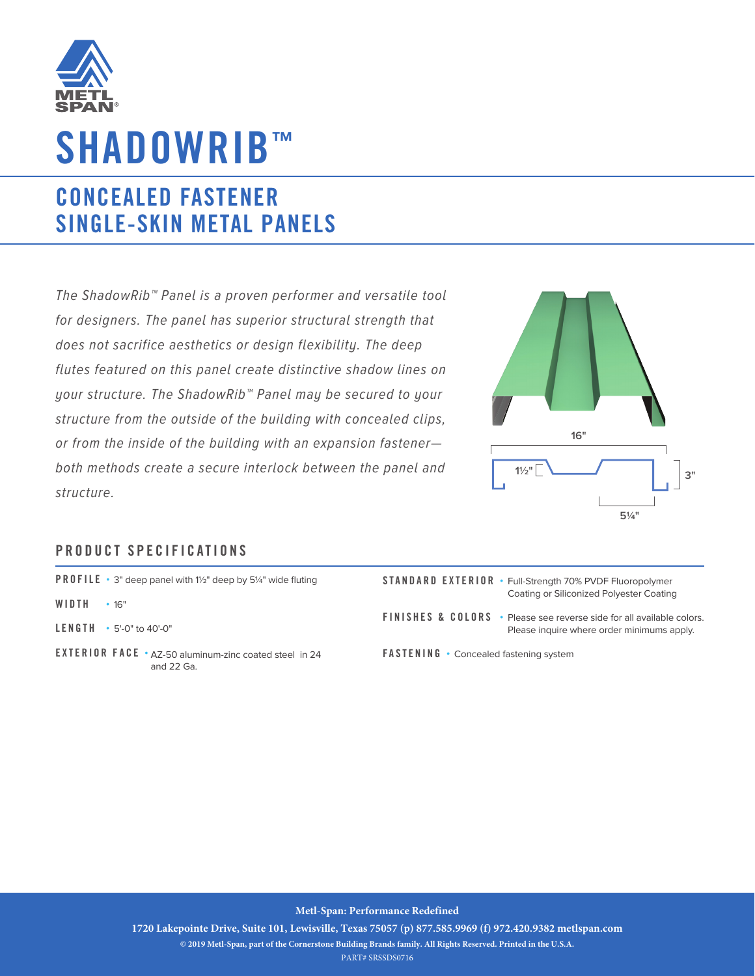

## **SHADOWRIB™**

## **CONCEALED FASTENER SINGLE-SKIN METAL PANELS**

The ShadowRib™ Panel is a proven performer and versatile tool for designers. The panel has superior structural strength that does not sacrifice aesthetics or design flexibility. The deep flutes featured on this panel create distinctive shadow lines on your structure. The ShadowRib™ Panel may be secured to your structure from the outside of the building with concealed clips, or from the inside of the building with an expansion fastener both methods create a secure interlock between the panel and structure.



Please inquire where order minimums apply.

## **PRODUCT SPECIFICATIONS**

| <b>PROFILE</b> • 3" deep panel with 1½" deep by 5¼" wide fluting |  |
|------------------------------------------------------------------|--|
|------------------------------------------------------------------|--|

- **WIDTH •** 16"
- **LENGTH •** 5'-0" to 40'-0"
- **EXTE RIOR FACE •** AZ-50 aluminum-zinc coated steel in 24 and 22 Ga.
- **STANDARD EXTERIOR •** Full-Strength 70% PVDF Fluoropolymer Coating or Siliconized Polyester Coating **FINISHES & COLORS •** Please see reverse side for all available colors.

**FASTENING •** Concealed fastening system

**Metl-Span: Performance Redefined**

**1720 Lakepointe Drive, Suite 101, Lewisville, Texas 75057 (p) 877.585.9969 (f) 972.420.9382 metlspan.com © 2019 Metl-Span, part of the Cornerstone Building Brands family. All Rights Reserved. Printed in the U.S.A.**

PART# SRSSDS0716